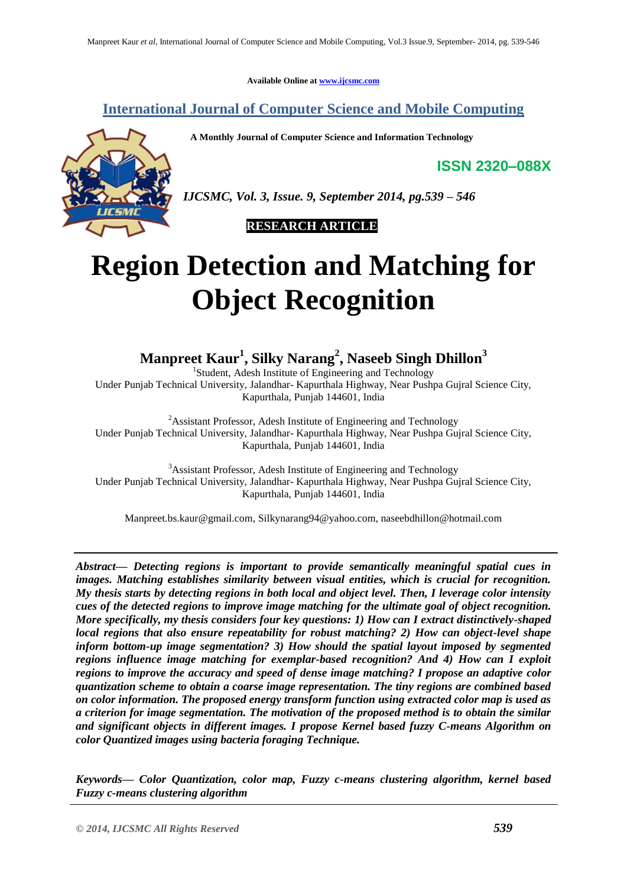**Available Online at [www.ijcsmc.com](http://www.ijcsmc.com/)**

**International Journal of Computer Science and Mobile Computing**

 **A Monthly Journal of Computer Science and Information Technology**

**ISSN 2320–088X**



*IJCSMC, Vol. 3, Issue. 9, September 2014, pg.539 – 546*

 **RESEARCH ARTICLE**

# **Region Detection and Matching for Object Recognition**

**Manpreet Kaur<sup>1</sup> , Silky Narang<sup>2</sup> , Naseeb Singh Dhillon<sup>3</sup>**

<sup>1</sup>Student, Adesh Institute of Engineering and Technology Under Punjab Technical University, Jalandhar- Kapurthala Highway, Near Pushpa Gujral Science City, Kapurthala, Punjab 144601, India

<sup>2</sup>Assistant Professor, Adesh Institute of Engineering and Technology Under Punjab Technical University, Jalandhar- Kapurthala Highway, Near Pushpa Gujral Science City, Kapurthala, Punjab 144601, India

<sup>3</sup>Assistant Professor, Adesh Institute of Engineering and Technology Under Punjab Technical University, Jalandhar- Kapurthala Highway, Near Pushpa Gujral Science City, Kapurthala, Punjab 144601, India

[Manpreet.bs.kaur@gmail.com,](mailto:Manpreet.bs.kaur@gmail.com) [Silkynarang94@yahoo.com,](mailto:Silkynarang94@yahoo.com) naseebdhillon@hotmail.com

*Abstract— Detecting regions is important to provide semantically meaningful spatial cues in images. Matching establishes similarity between visual entities, which is crucial for recognition. My thesis starts by detecting regions in both local and object level. Then, I leverage color intensity cues of the detected regions to improve image matching for the ultimate goal of object recognition. More specifically, my thesis considers four key questions: 1) How can I extract distinctively-shaped local regions that also ensure repeatability for robust matching? 2) How can object-level shape inform bottom-up image segmentation? 3) How should the spatial layout imposed by segmented regions influence image matching for exemplar-based recognition? And 4) How can I exploit regions to improve the accuracy and speed of dense image matching? I propose an adaptive color quantization scheme to obtain a coarse image representation. The tiny regions are combined based on color information. The proposed energy transform function using extracted color map is used as a criterion for image segmentation. The motivation of the proposed method is to obtain the similar and significant objects in different images. I propose Kernel based fuzzy C-means Algorithm on color Quantized images using bacteria foraging Technique.* 

*Keywords— Color Quantization, color map, Fuzzy c-means clustering algorithm, kernel based Fuzzy c-means clustering algorithm*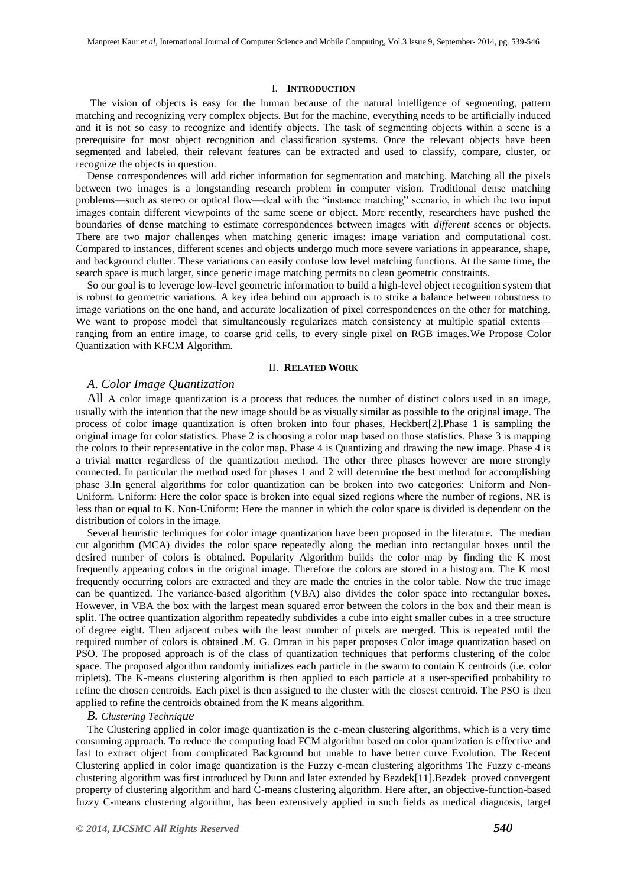#### I. **INTRODUCTION**

The vision of objects is easy for the human because of the natural intelligence of segmenting, pattern matching and recognizing very complex objects. But for the machine, everything needs to be artificially induced and it is not so easy to recognize and identify objects. The task of segmenting objects within a scene is a prerequisite for most object recognition and classification systems. Once the relevant objects have been segmented and labeled, their relevant features can be extracted and used to classify, compare, cluster, or recognize the objects in question.

Dense correspondences will add richer information for segmentation and matching. Matching all the pixels between two images is a longstanding research problem in computer vision. Traditional dense matching problems—such as stereo or optical flow—deal with the "instance matching" scenario, in which the two input images contain different viewpoints of the same scene or object. More recently, researchers have pushed the boundaries of dense matching to estimate correspondences between images with *different* scenes or objects. There are two major challenges when matching generic images: image variation and computational cost. Compared to instances, different scenes and objects undergo much more severe variations in appearance, shape, and background clutter. These variations can easily confuse low level matching functions. At the same time, the search space is much larger, since generic image matching permits no clean geometric constraints.

So our goal is to leverage low-level geometric information to build a high-level object recognition system that is robust to geometric variations. A key idea behind our approach is to strike a balance between robustness to image variations on the one hand, and accurate localization of pixel correspondences on the other for matching. We want to propose model that simultaneously regularizes match consistency at multiple spatial extents ranging from an entire image, to coarse grid cells, to every single pixel on RGB images.We Propose Color Quantization with KFCM Algorithm.

## II. **RELATED WORK**

## *A*. *Color Image Quantization*

All A color image quantization is a process that reduces the number of distinct colors used in an image, usually with the intention that the new image should be as visually similar as possible to the original image. The process of color image quantization is often broken into four phases, Heckbert[2].Phase 1 is sampling the original image for color statistics. Phase 2 is choosing a color map based on those statistics. Phase 3 is mapping the colors to their representative in the color map. Phase 4 is Quantizing and drawing the new image. Phase 4 is a trivial matter regardless of the quantization method. The other three phases however are more strongly connected. In particular the method used for phases 1 and 2 will determine the best method for accomplishing phase 3.In general algorithms for color quantization can be broken into two categories: Uniform and Non-Uniform. Uniform: Here the color space is broken into equal sized regions where the number of regions, NR is less than or equal to K. Non-Uniform: Here the manner in which the color space is divided is dependent on the distribution of colors in the image.

Several heuristic techniques for color image quantization have been proposed in the literature. The median cut algorithm (MCA) divides the color space repeatedly along the median into rectangular boxes until the desired number of colors is obtained. Popularity Algorithm builds the color map by finding the K most frequently appearing colors in the original image. Therefore the colors are stored in a histogram. The K most frequently occurring colors are extracted and they are made the entries in the color table. Now the true image can be quantized. The variance-based algorithm (VBA) also divides the color space into rectangular boxes. However, in VBA the box with the largest mean squared error between the colors in the box and their mean is split. The octree quantization algorithm repeatedly subdivides a cube into eight smaller cubes in a tree structure of degree eight. Then adjacent cubes with the least number of pixels are merged. This is repeated until the required number of colors is obtained .M. G. Omran in his paper proposes Color image quantization based on PSO. The proposed approach is of the class of quantization techniques that performs clustering of the color space. The proposed algorithm randomly initializes each particle in the swarm to contain K centroids (i.e. color triplets). The K-means clustering algorithm is then applied to each particle at a user-specified probability to refine the chosen centroids. Each pixel is then assigned to the cluster with the closest centroid. The PSO is then applied to refine the centroids obtained from the K means algorithm.

## *B. Clustering Technique*

The Clustering applied in color image quantization is the c-mean clustering algorithms, which is a very time consuming approach. To reduce the computing load FCM algorithm based on color quantization is effective and fast to extract object from complicated Background but unable to have better curve Evolution. The Recent Clustering applied in color image quantization is the Fuzzy c-mean clustering algorithms The Fuzzy c-means clustering algorithm was first introduced by Dunn and later extended by Bezdek[11].Bezdek proved convergent property of clustering algorithm and hard C-means clustering algorithm. Here after, an objective-function-based fuzzy C-means clustering algorithm, has been extensively applied in such fields as medical diagnosis, target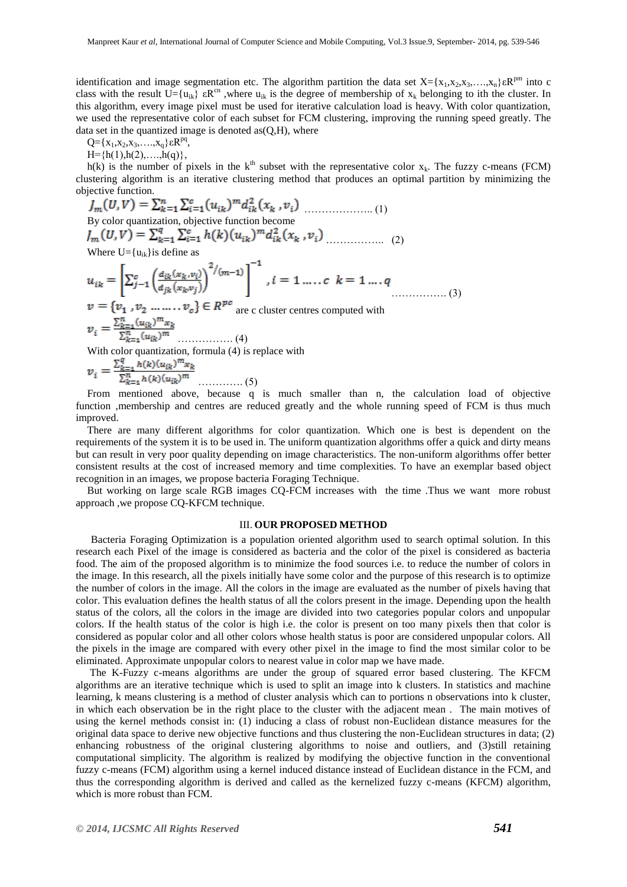identification and image segmentation etc. The algorithm partition the data set  $X = \{x_1, x_2, x_3, \ldots, x_n\} \in \mathbb{R}^{pm}$  into c class with the result  $U = \{u_{ik}\}\ \epsilon R^{cn}$ , where  $u_{ik}$  is the degree of membership of  $x_k$  belonging to ith the cluster. In this algorithm, every image pixel must be used for iterative calculation load is heavy. With color quantization, we used the representative color of each subset for FCM clustering, improving the running speed greatly. The data set in the quantized image is denoted as $(Q,H)$ , where

Q={ $x_1, x_2, x_3, \ldots, x_q$ } ε $R^{pq}$ ,

 $H=\{h(1), h(2), \ldots, h(q)\},\$ 

h(k) is the number of pixels in the  $k<sup>th</sup>$  subset with the representative color  $x<sub>k</sub>$ . The fuzzy c-means (FCM) clustering algorithm is an iterative clustering method that produces an optimal partition by minimizing the objective function.  $\sim$   $\sim$   $\sim$   $\sim$ 

$$
J_m(U, V) = \sum_{k=1}^{n} \sum_{i=1}^{n} (u_{ik})^{m} d_{ik}^{2}(x_k, v_i)
$$
\nBy color quantization, objective function become  
\n
$$
J_m(U, V) = \sum_{k=1}^{q} \sum_{i=1}^{c} h(k) (u_{ik})^{m} d_{ik}^{2}(x_k, v_i)
$$
\n(2)  
\nWhere U= {u<sub>ik</sub>} is define as  
\n
$$
u_{ik} = \left[ \sum_{j=1}^{c} \left( \frac{d_{ik}(x_k, v_i)}{d_{jk}(x_k, v_j)} \right)^{2/(m-1)} \right]^{-1}, i = 1, \dots, c, k = 1, \dots, q
$$
\n
$$
v = \{v_1, v_2, \dots, v_c\} \in R^{pc}
$$
\nare cluster centres computed with  
\n
$$
v_i = \frac{\sum_{k=1}^{n} (u_{ik})^{m} x_k}{\sum_{k=1}^{n} (u_{ik})^{m}} \dots \dots \dots (4)
$$
\nWith color quantization, formula (4) is replace with  
\n
$$
v_i = \frac{\sum_{k=1}^{q} h(k) (u_{ik})^{m} x_k}{\sum_{k=1}^{q} h(k) (u_{ik})^{m} x_k}
$$

 $\sum_{k=1}^n h(k)(u_{ik})^m$ …………. (5)

From mentioned above, because q is much smaller than n, the calculation load of objective function ,membership and centres are reduced greatly and the whole running speed of FCM is thus much improved.

There are many different algorithms for color quantization. Which one is best is dependent on the requirements of the system it is to be used in. The uniform quantization algorithms offer a quick and dirty means but can result in very poor quality depending on image characteristics. The non-uniform algorithms offer better consistent results at the cost of increased memory and time complexities. To have an exemplar based object recognition in an images, we propose bacteria Foraging Technique.

But working on large scale RGB images CQ-FCM increases with the time .Thus we want more robust approach ,we propose CQ-KFCM technique.

## III. **OUR PROPOSED METHOD**

Bacteria Foraging Optimization is a population oriented algorithm used to search optimal solution. In this research each Pixel of the image is considered as bacteria and the color of the pixel is considered as bacteria food. The aim of the proposed algorithm is to minimize the food sources i.e. to reduce the number of colors in the image. In this research, all the pixels initially have some color and the purpose of this research is to optimize the number of colors in the image. All the colors in the image are evaluated as the number of pixels having that color. This evaluation defines the health status of all the colors present in the image. Depending upon the health status of the colors, all the colors in the image are divided into two categories popular colors and unpopular colors. If the health status of the color is high i.e. the color is present on too many pixels then that color is considered as popular color and all other colors whose health status is poor are considered unpopular colors. All the pixels in the image are compared with every other pixel in the image to find the most similar color to be eliminated. Approximate unpopular colors to nearest value in color map we have made.

The K-Fuzzy c-means algorithms are under the group of squared error based clustering. The KFCM algorithms are an iterative technique which is used to split an image into k clusters. In statistics and machine learning, k means clustering is a method of cluster analysis which can to portions n observations into k cluster, in which each observation be in the right place to the cluster with the adjacent mean . The main motives of using the kernel methods consist in: (1) inducing a class of robust non-Euclidean distance measures for the original data space to derive new objective functions and thus clustering the non-Euclidean structures in data; (2) enhancing robustness of the original clustering algorithms to noise and outliers, and (3)still retaining computational simplicity. The algorithm is realized by modifying the objective function in the conventional fuzzy c-means (FCM) algorithm using a kernel induced distance instead of Euclidean distance in the FCM, and thus the corresponding algorithm is derived and called as the kernelized fuzzy c-means (KFCM) algorithm, which is more robust than FCM.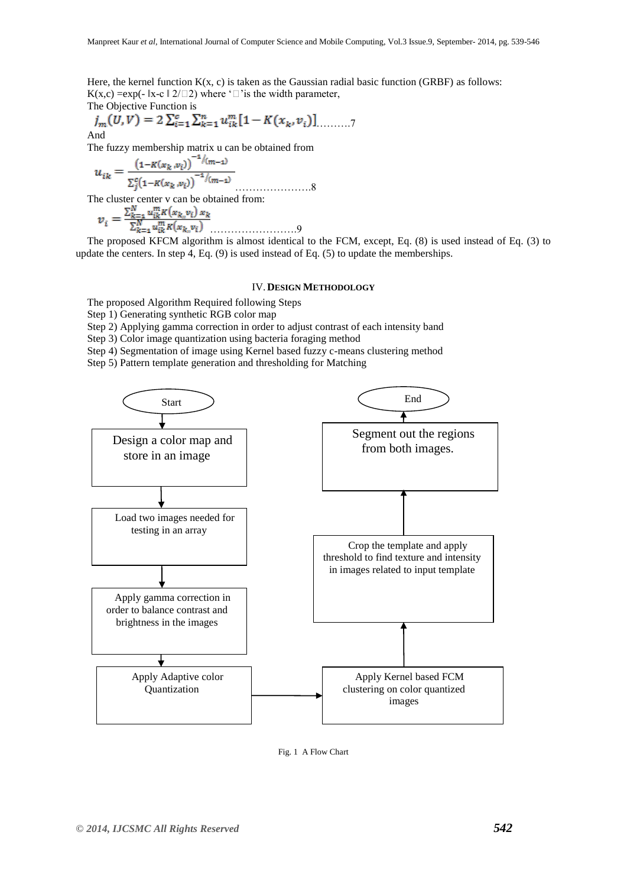Here, the kernel function  $K(x, c)$  is taken as the Gaussian radial basic function (GRBF) as follows:  $K(x,c) = exp(-\|x-c\|_2^2)$  where ' $\Box$ ' is the width parameter,

The Objective Function is  

$$
j_m(U, V) = 2 \sum_{i=1}^{c} \sum_{k=1}^{n} u_{ik}^{m} [1 - K(x_k, v_i)] \dots \dots
$$

And

The fuzzy membership matrix u can be obtained from

………………….8

The cluster center v can be obtained from:

$$
v_{i} = \frac{\sum_{k=1}^{N} u_{ik}^{m} K(x_{k_{n}} v_{i}) x_{k}}{\sum_{k=1}^{N} u_{ik}^{m} K(x_{k_{n}} v_{i})}
$$

The proposed KFCM algorithm is almost identical to the FCM, except, Eq. (8) is used instead of Eq. (3) to update the centers. In step 4, Eq. (9) is used instead of Eq. (5) to update the memberships.

## IV.**DESIGN METHODOLOGY**

The proposed Algorithm Required following Steps

Step 1) Generating synthetic RGB color map

Step 2) Applying gamma correction in order to adjust contrast of each intensity band

Step 3) Color image quantization using bacteria foraging method

Step 4) Segmentation of image using Kernel based fuzzy c-means clustering method

Step 5) Pattern template generation and thresholding for Matching



Fig. 1 A Flow Chart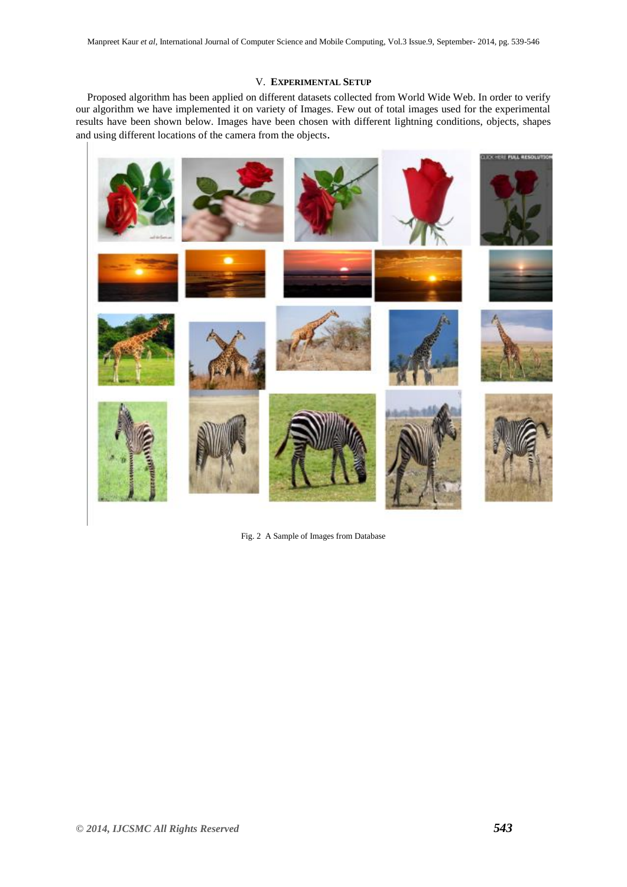## V. **EXPERIMENTAL SETUP**

Proposed algorithm has been applied on different datasets collected from World Wide Web. In order to verify our algorithm we have implemented it on variety of Images. Few out of total images used for the experimental results have been shown below. Images have been chosen with different lightning conditions, objects, shapes and using different locations of the camera from the objects.



Fig. 2 A Sample of Images from Database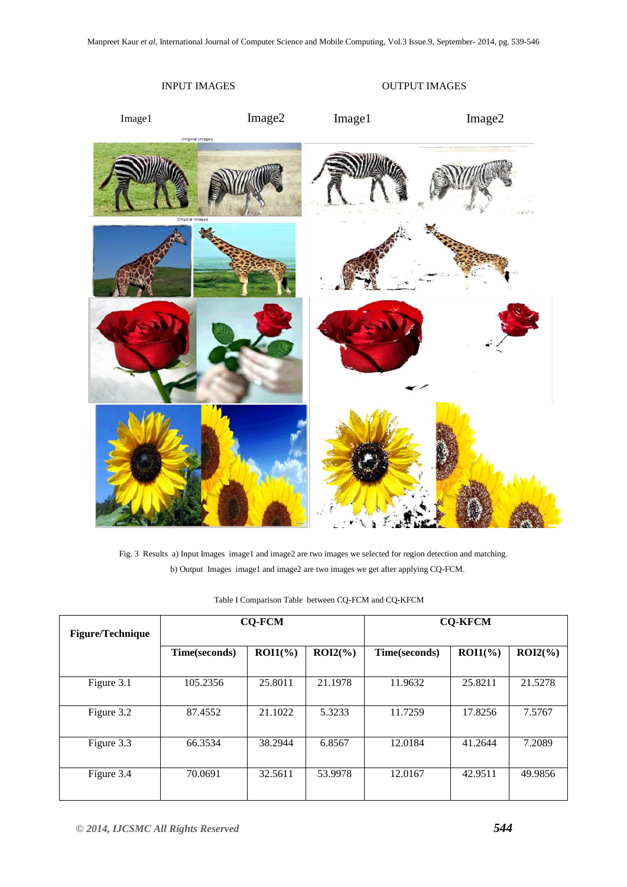

Fig. 3 Results a) Input Images image1 and image2 are two images we selected for region detection and matching. b) Output Images image1 and image2 are two images we get after applying CQ-FCM.

| <b>Figure/Technique</b> | <b>CO-FCM</b> |            |            | <b>CO-KFCM</b> |             |            |
|-------------------------|---------------|------------|------------|----------------|-------------|------------|
|                         | Time(seconds) | $ROI1(\%)$ | $ROI2(\%)$ | Time(seconds)  | $ROI1(\% )$ | $ROI2(\%)$ |
| Figure 3.1              | 105.2356      | 25.8011    | 21.1978    | 11.9632        | 25.8211     | 21.5278    |
| Figure 3.2              | 87.4552       | 21.1022    | 5.3233     | 11.7259        | 17.8256     | 7.5767     |
| Figure 3.3              | 66.3534       | 38.2944    | 6.8567     | 12.0184        | 41.2644     | 7.2089     |
| Figure 3.4              | 70.0691       | 32.5611    | 53.9978    | 12.0167        | 42.9511     | 49.9856    |

Table I Comparison Table between CQ-FCM and CQ-KFCM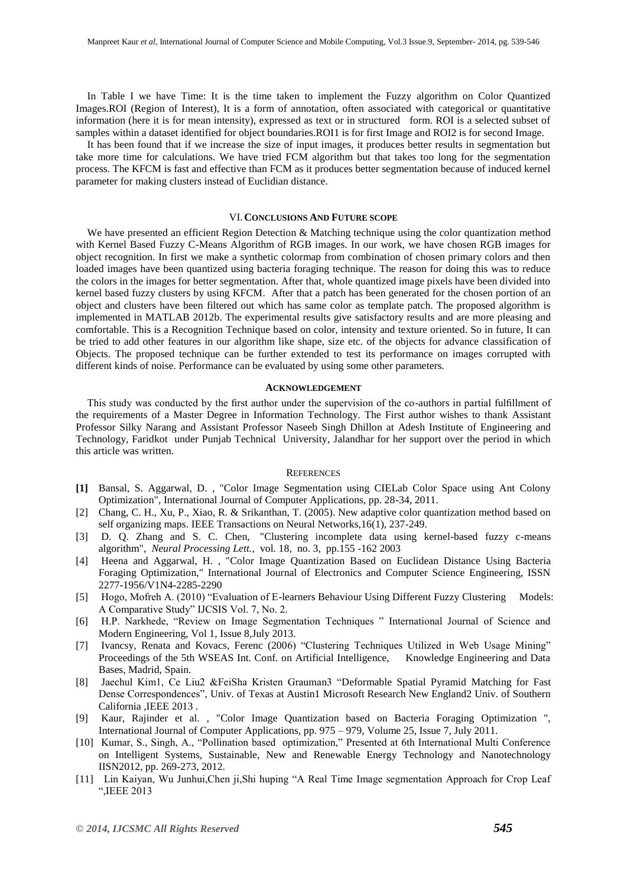In Table I we have Time: It is the time taken to implement the Fuzzy algorithm on Color Quantized Images.ROI (Region of Interest), It is a form of annotation, often associated with categorical or quantitative information (here it is for mean intensity), expressed as text or in structured form. ROI is a selected subset of samples within a dataset identified for object boundaries.ROI1 is for first Image and ROI2 is for second Image.

It has been found that if we increase the size of input images, it produces better results in segmentation but take more time for calculations. We have tried FCM algorithm but that takes too long for the segmentation process. The KFCM is fast and effective than FCM as it produces better segmentation because of induced kernel parameter for making clusters instead of Euclidian distance.

#### VI.**CONCLUSIONS AND FUTURE SCOPE**

We have presented an efficient Region Detection & Matching technique using the color quantization method with Kernel Based Fuzzy C-Means Algorithm of RGB images. In our work, we have chosen RGB images for object recognition. In first we make a synthetic colormap from combination of chosen primary colors and then loaded images have been quantized using bacteria foraging technique. The reason for doing this was to reduce the colors in the images for better segmentation. After that, whole quantized image pixels have been divided into kernel based fuzzy clusters by using KFCM. After that a patch has been generated for the chosen portion of an object and clusters have been filtered out which has same color as template patch. The proposed algorithm is implemented in MATLAB 2012b. The experimental results give satisfactory results and are more pleasing and comfortable. This is a Recognition Technique based on color, intensity and texture oriented. So in future, It can be tried to add other features in our algorithm like shape, size etc. of the objects for advance classification of Objects. The proposed technique can be further extended to test its performance on images corrupted with different kinds of noise. Performance can be evaluated by using some other parameters.

## **ACKNOWLEDGEMENT**

This study was conducted by the first author under the supervision of the co-authors in partial fulfillment of the requirements of a Master Degree in Information Technology. The First author wishes to thank Assistant Professor Silky Narang and Assistant Professor Naseeb Singh Dhillon at Adesh Institute of Engineering and Technology, Faridkot under Punjab Technical University, Jalandhar for her support over the period in which this article was written.

#### **REFERENCES**

- **[1]** Bansal, S. Aggarwal, D. , "Color Image Segmentation using CIELab Color Space using Ant Colony Optimization", International Journal of Computer Applications, pp. 28-34, 2011.
- [2] Chang, C. H., Xu, P., Xiao, R. & Srikanthan, T. (2005). New adaptive color quantization method based on self organizing maps. IEEE Transactions on Neural Networks, 16(1), 237-249.
- [3] D. Q. Zhang and S. C. Chen, "Clustering incomplete data using kernel-based fuzzy c-means algorithm", *Neural Processing Lett.*, vol. 18, no. 3, pp.155 -162 2003
- [4] Heena and Aggarwal, H. , "Color Image Quantization Based on Euclidean Distance Using Bacteria Foraging Optimization," International Journal of Electronics and Computer Science Engineering, ISSN 2277-1956/V1N4-2285-2290
- [5] Hogo, Mofreh A. (2010) "Evaluation of E-learners Behaviour Using Different Fuzzy Clustering Models: A Comparative Study" IJCSIS Vol. 7, No. 2.
- [6] H.P. Narkhede, "Review on Image Segmentation Techniques " International Journal of Science and Modern Engineering, Vol 1, Issue 8,July 2013.
- [7] Ivancsy, Renata and Kovacs, Ferenc (2006) "Clustering Techniques Utilized in Web Usage Mining" Proceedings of the 5th WSEAS Int. Conf. on Artificial Intelligence, Knowledge Engineering and Data Bases, Madrid, Spain.
- [8] Jaechul Kim1, Ce Liu2 &FeiSha Kristen Grauman3 "Deformable Spatial Pyramid Matching for Fast Dense Correspondences", Univ. of Texas at Austin1 Microsoft Research New England2 Univ. of Southern California ,IEEE 2013 .
- [9] Kaur, Rajinder et al. , "Color Image Quantization based on Bacteria Foraging Optimization ", International Journal of Computer Applications, pp. 975 – 979, Volume 25, Issue 7, July 2011.
- [10] Kumar, S., Singh, A., "Pollination based optimization," Presented at 6th International Multi Conference on Intelligent Systems, Sustainable, New and Renewable Energy Technology and Nanotechnology IISN2012, pp. 269-273, 2012.
- [11] Lin Kaiyan, Wu Junhui,Chen ji,Shi huping "A Real Time Image segmentation Approach for Crop Leaf ―,IEEE 2013